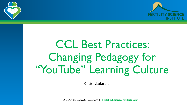

## CCL Best Practices: Changing Pedagogy for "YouTube" Learning Culture

Katie Zulanas

COUPLE TO COUPLE LEAGUE CCLI.org ● **FertilityScienceInstitute.org**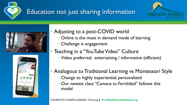

## Education not just sharing information







- Adjusting to a post-COVID world
	- − Online is the most in demand mode of learning
	- − Challenge is engagement
- Teaching in a "YouTube Video" Culture
	- − Video preferred: entertaining / informative (efficient)
- Analogous to Traditional Learning vs Montessori Style
	- − Change to highly experiential, personalized
	- − Our newest class "Conoce tu Fertilidad" follows this model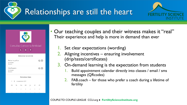Relationships are still the heart





ma mi

 $1 \t2 \t3 \t4 \t5$ 

• Our teaching couples and their witness makes it "real" Their experience and help is more in demand than ever

- Set clear expectations (wording)
- 2. Aligning incentives ensuring involvement (drip/tests/certificates)
- 3. On-demand learning is the expectation from students
	- Build appointment calendar directly into classes / email / sms messages (QRcodes)
	- FAB.coach for those who prefer a coach during a lifetime of fertility

COUPLE TO COUPLE LEAGUE CCLI.org ● **FertilityScienceInstitute.org**